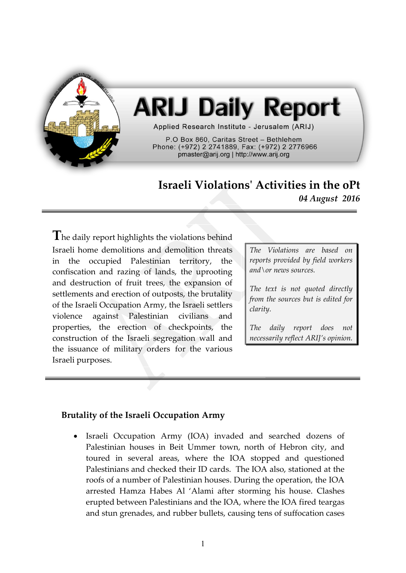

# **ARIJ Daily Report**

Applied Research Institute - Jerusalem (ARIJ)

P.O Box 860. Caritas Street - Bethlehem Phone: (+972) 2 2741889, Fax: (+972) 2 2776966 pmaster@arij.org | http://www.arij.org

# **Israeli Violations' Activities in the oPt** *04 August 2016*

The daily report highlights the violations behind Israeli home demolitions and demolition threats in the occupied Palestinian territory, the confiscation and razing of lands, the uprooting and destruction of fruit trees, the expansion of settlements and erection of outposts, the brutality of the Israeli Occupation Army, the Israeli settlers violence against Palestinian civilians and properties, the erection of checkpoints, the construction of the Israeli segregation wall and the issuance of military orders for the various Israeli purposes.

*The Violations are based on reports provided by field workers and\or news sources.*

*The text is not quoted directly from the sources but is edited for clarity.*

*The daily report does not necessarily reflect ARIJ's opinion.*

#### **Brutality of the Israeli Occupation Army**

 Israeli Occupation Army (IOA) invaded and searched dozens of Palestinian houses in Beit Ummer town, north of Hebron city, and toured in several areas, where the IOA stopped and questioned Palestinians and checked their ID cards. The IOA also, stationed at the roofs of a number of Palestinian houses. During the operation, the IOA arrested Hamza Habes Al 'Alami after storming his house. Clashes erupted between Palestinians and the IOA, where the IOA fired teargas and stun grenades, and rubber bullets, causing tens of suffocation cases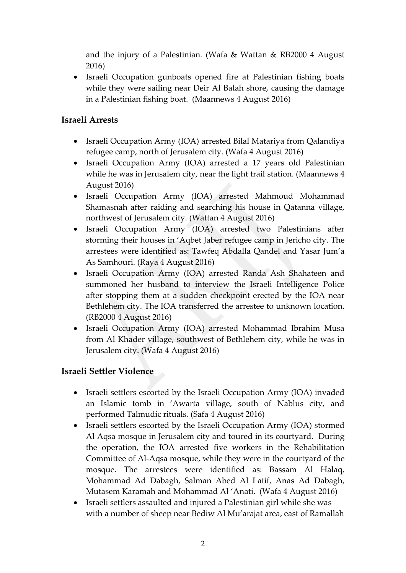and the injury of a Palestinian. (Wafa & Wattan & RB2000 4 August 2016)

• Israeli Occupation gunboats opened fire at Palestinian fishing boats while they were sailing near Deir Al Balah shore, causing the damage in a Palestinian fishing boat. (Maannews 4 August 2016)

### **Israeli Arrests**

- Israeli Occupation Army (IOA) arrested Bilal Matariya from Qalandiya refugee camp, north of Jerusalem city. (Wafa 4 August 2016)
- Israeli Occupation Army (IOA) arrested a 17 years old Palestinian while he was in Jerusalem city, near the light trail station. (Maannews 4 August 2016)
- Israeli Occupation Army (IOA) arrested Mahmoud Mohammad Shamasnah after raiding and searching his house in Qatanna village, northwest of Jerusalem city. (Wattan 4 August 2016)
- Israeli Occupation Army (IOA) arrested two Palestinians after storming their houses in 'Aqbet Jaber refugee camp in Jericho city. The arrestees were identified as: Tawfeq Abdalla Qandel and Yasar Jum'a As Samhouri. (Raya 4 August 2016)
- Israeli Occupation Army (IOA) arrested Randa Ash Shahateen and summoned her husband to interview the Israeli Intelligence Police after stopping them at a sudden checkpoint erected by the IOA near Bethlehem city. The IOA transferred the arrestee to unknown location. (RB2000 4 August 2016)
- Israeli Occupation Army (IOA) arrested Mohammad Ibrahim Musa from Al Khader village, southwest of Bethlehem city, while he was in Jerusalem city. (Wafa 4 August 2016)

## **Israeli Settler Violence**

- Israeli settlers escorted by the Israeli Occupation Army (IOA) invaded an Islamic tomb in 'Awarta village, south of Nablus city, and performed Talmudic rituals. (Safa 4 August 2016)
- Israeli settlers escorted by the Israeli Occupation Army (IOA) stormed Al Aqsa mosque in Jerusalem city and toured in its courtyard. During the operation, the IOA arrested five workers in the Rehabilitation Committee of Al-Aqsa mosque, while they were in the courtyard of the mosque. The arrestees were identified as: Bassam Al Halaq, Mohammad Ad Dabagh, Salman Abed Al Latif, Anas Ad Dabagh, Mutasem Karamah and Mohammad Al 'Anati. (Wafa 4 August 2016)
- Israeli settlers assaulted and injured a Palestinian girl while she was with a number of sheep near Bediw Al Mu'arajat area, east of Ramallah